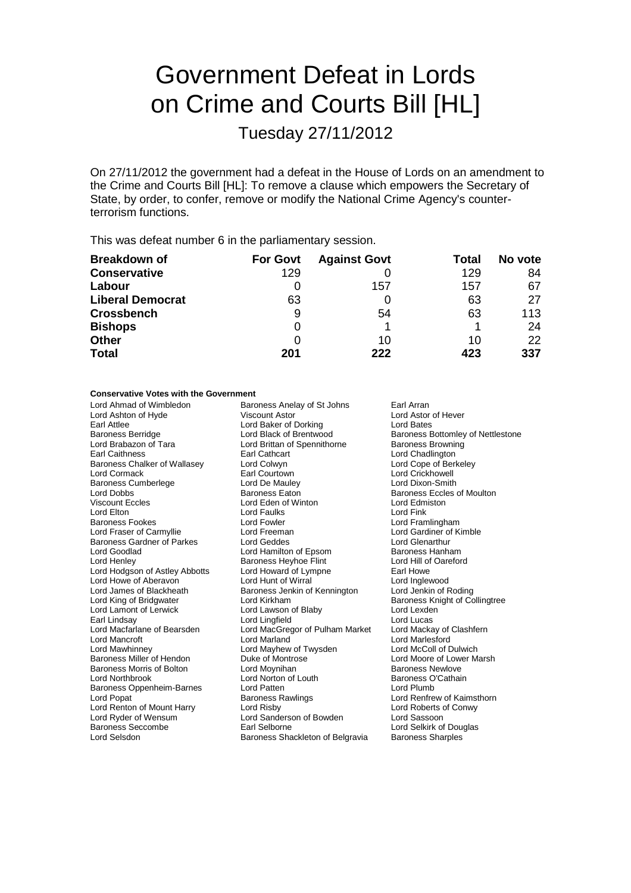# Government Defeat in Lords on Crime and Courts Bill [HL]

Tuesday 27/11/2012

On 27/11/2012 the government had a defeat in the House of Lords on an amendment to the Crime and Courts Bill [HL]: To remove a clause which empowers the Secretary of State, by order, to confer, remove or modify the National Crime Agency's counterterrorism functions.

This was defeat number 6 in the parliamentary session.

| <b>Breakdown of</b>     | <b>For Govt</b> | <b>Against Govt</b> | Total | No vote |
|-------------------------|-----------------|---------------------|-------|---------|
| <b>Conservative</b>     | 129             |                     | 129   | 84      |
| Labour                  |                 | 157                 | 157   | 67      |
| <b>Liberal Democrat</b> | 63              |                     | 63    | 27      |
| <b>Crossbench</b>       | 9               | 54                  | 63    | 113     |
| <b>Bishops</b>          | 0               |                     |       | 24      |
| <b>Other</b>            |                 | 10                  | 10    | 22      |
| <b>Total</b>            | 201             | 222                 | 423   | 337     |

### **Conservative Votes with the Government**

Lord Ahmad of Wimbledon **Baroness Anelay of St Johns** Earl Arran<br>
Lord Ashton of Hyde **Baron Contral Astor** Ciscount Astor **Earl Arran** Earl Astor of Hever Lord Ashton of Hyde Viscount Astor Carl Astor Lord Astor Lord Astor Carl Attlee Cord Baker of Dorking Cord Bates Earl Attlee Lord Baker of Dorking<br>
Baroness Berridge Lord Black of Brentwood Baroness Berridge **Lord Black of Brentwood** Baroness Bottomley of Nettlestone<br>
Lord Brabazon of Tara **Baroness Brentwood** Baroness Browning Lord Brabazon of Tara **Lord Brittan of Spennithorne**<br>
Earl Cathcart<br>
Earl Cathcart Earl Cathcart **Earl Cathcart** Lord Chadlington<br>
Lord Colwyn **Lord Cope of Berkeley** Baroness Chalker of Wallasey Lord Colwyn<br>
Lord Cormack Countown Earl Courtown Earl Courtown **Earl Courtown** Lord Crickhowell<br>
Lord De Mauley **Lord Dixon-Smith** Baroness Cumberlege **Lord De Mauley Lord De Mauley**<br>
Lord Dobbs<br> **Baroness Eaton** Lord Dobbs **Baroness Example 1** Baroness Eaton **Baroness Eccles of Moulton**<br>
Viscount Eccles **Baroness Eccles Baroness Eccles Baroness Eccles Baroness Eccles Baroness Eccles Baroness Eccles** Viscount Eccles Lord Eden of Winton Lord Edmiston Lord Elton Lord Faulks Lord Fink Baroness Fookes **Lord Fowler** Lord Fowler **Lord Framlingham**<br>
Lord Fraser of Carmyllie **Lord Example Lord Freeman** Lord Cardiner of Kimble Lord Fraser of Carmyllie **Lord Execution Cardinal**<br>
Baroness Gardner of Parkes **Lord Geddes** Lord General Lord Glenarthur Baroness Gardner of Parkes Lord Geddes Lord Genarthur<br>
Lord Goodlad Cord Hamilton of Epsom Baroness Hanham Lord Hamilton of Epsom Baroness Hanham<br>Baroness Heyhoe Flint **Baroness Hanham** Lord Henley **Baroness Heyhoe Flint** Lord Hill of Astex Baroness Heyhoe Flint Lord Hill of Ord Hill of Cord Howard of Lympne Lord Hodgson of Astley Abbotts Lord Howard of Lympne Earl Howe<br>
Lord Howe of Aberavon Lord Hunt of Wirral Lord Home Lord Inglewood Lord Howe of Aberavon Lord Hunt of Wirral Number 2007 Lord Inglewood<br>
Lord James of Blackheath Baroness Jenkin of Kennington Lord Jenkin of Roding Baroness Jenkin of Kennington Lord King of Bridgwater Cord Kirkham Lord Electronic Baroness Knight of Collingtree<br>
Lord Lawson of Blaby Lord Lord Lexden<br>
Lord Lexden Lord Lamont of Lerwick Lord Lawson of Blaby Lord Lexden<br>Lord Lindsay Lord Lord Lord Lingfield<br>Lord Lucas Earl Lindsay Lord Lord Lingfield Lord Lucas<br>
Lord MacGregor of Pulham Market Lord Mackay of Clashfern Lord MacGregor of Pulham Market Lord Mancroft **Lord Marland Lord Marlesford**<br>
Lord Mayhew of Twysden Lord McColl of Dulwich<br>
Lord Mayhew of Twysden Lord McColl of Dulwich Lord Mawhinney **Lord Mayhew of Twysden**<br> **Baroness Miller of Hendon** Duke of Montrose Baroness Morris of Bolton **Lord Moynihan**<br>
Lord North Lord Norton of Louth Baroness O'Cathain<br>
Lord Northbrook **Cathain** Lord Norton of Louth Baroness O<br>
Lord Patten Cord Plumb Baroness Oppenheim-Barnes Lord Patten<br>
Lord Popat Corp Baroness Rawlings Lord Renton of Mount Harry Lord Risby Lord Roberts of Conwy Lord Ryder of Wensum<br>
Baroness Seccombe<br>
Earl Selborne<br>
Earl Selborne Lord Selsdon **Baroness Shackleton of Belgravia** Baroness Sharples

Lord Moore of Lower Marsh Lord Renfrew of Kaimsthorn Lord Selkirk of Douglas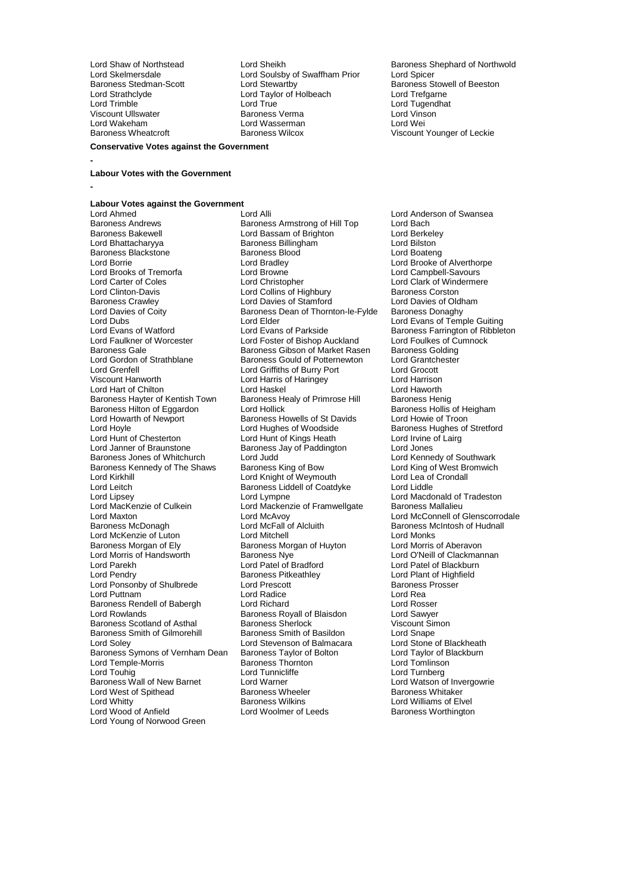Lord Strathclyde Lord Taylor of Holbeach<br>
Lord Trimble Lord True<br>
Lord True Lord Wakeham Lord Wasserman<br>
Baroness Wheatcroft 
Baroness Wilcox

**-**

**-**

Lord Skelmersdale Lord Soulsby of Swaffham Prior<br>Baroness Stedman-Scott Lord Stewartby Baroness Stedman-Scott **Lord Stewartby** Baroness Stowell of Beeston<br>
Lord Strathclyde **Baroness**<br>
Lord Trefgame<br>
Lord Trefgame Lord Trimble Lord True Lord Tugendhat Viscount Ullswater Baroness Verma Lord Vinson

Lord Shaw of Northstead Lord Sheikh Baroness Shephard of Northwold<br>
Lord Skelmersdale Lord Soulsby of Swaffham Prior Lord Spicer Viscount Younger of Leckie

### **Labour Votes with the Government**

**Conservative Votes against the Government**

# **Labour Votes against the Government**

Lord Ahmed<br>
Baroness Andrews<br>
Baroness Amstrong of Hill Top Lord Bach<br>
Lord Bach Baroness Andrews **Baroness Armstrong of Hill Top** Lord Bach<br>Baroness Bakewell **Bach Lord Bassam of Brighton** Lord Berkelev Baroness Bakewell **Example 2** Lord Bassam of Brighton **Lord Berkele**<br>
Lord Bhattacharyya **Baroness Billingham** Lord Bilston Baroness Blackstone Baroness Bloomer Baroness Bloomer<br>
Baroness Bloomer<br>
Lord Bradley Lord Borrie Lord Bradley Lord Brooke of Alverthorpe Lord Brooks of Tremorfa Lord Browne Lord Campbell-Savours<br>
Lord Carter of Coles Lord Christopher Lord Clark of Winderme Lord Carter of Coles<br>
Lord Coles Lord Collins of Highbury Corporation Baroness Corston<br>
Lord Clinton-Davis Corporation Collins of Highbury Corporation Baroness Corston Lord Clinton-Davis **Lord Collins of Highbury** Baroness Corston<br>
Baroness Crawley **Baroness Crawley** Lord Davies of Stamford Lord Davies of Oldham Baroness Crawley **Lord Davies of Stamford** Lord Davies of Oldhamas Crawley **Lord Davies of Coldhamas Constanting Cold**<br>
Baroness Dean of Thornton-le-Fylde Baroness Donaghy Lord Davies of Coity **Baroness Dean of Thornton-le-Fylde**<br>
Lord Dubs<br>
Lord Elder Lord Dubs<br>
Lord Evans of Watford Lord Evans of Parkside Lord Evans of Temple Guiting<br>
Lord Evans of Watford Lord Evans of Parkside Baroness Farrington of Ribble Lord Evans of Watford **Lord Evans of Parkside** Baroness Farrington of Ribbleton<br>
Lord Faulkner of Worcester **Lord Foster of Bishop Auckland** Lord Foulkes of Cumnock Baroness Gale Baroness Gibson of Market Rasen Baroness Golding<br>
Baroness Gould of Potternewton Lord Grantchester Lord Gordon of Strathblane **Baroness Gould of Potternewton** Lord Grantch<br>Lord Grenfell **Lord Grantchester Corner Corner** Lord Grecott Lord Grenfell Lord Griffiths of Burry Port Lord Grocott Lord Hart of Chilton **Lord Haskel** Lord Haskel **Lord Haworth**<br>Baroness Hayter of Kentish Town Baroness Healy of Primrose Hill Baroness Henig Baroness Hayter of Kentish Town Baroness Healy of Primrose Hill Baroness Henig<br>Baroness Hilton of Eggardon Lord Hollick Baroness Hollis of Heigham Baroness Hilton of Eggardon Lord Hollick (Baroness Hollis of Heigham Baroness Hollis of Heigham Baroness Hollis of H<br>Lord Howarth of Newport (Baroness Howells of St Davids Lord Howie of Troon Lord Howarth of Newport Baroness Howells of St Davids<br>
Lord Hoyle Cord Hughes of Woodside Lord Hoyle **Lord Hughes of Woodside** Baroness Hughes of Stretford<br>
Lord Hunt of Chesterton **Lord Hunt of Kings Heath** Lord Irvine of Lairg Lord Hunt of Chesterton Lord Hunt of Kings Heath Lord Hunt of Chesterton Lord Irvine<br>
Lord Janner of Braunstone Baroness Jay of Paddington Lord Jones Lord Janner of Braunstone<br>
Baroness Jay of Paddington<br>
Baroness Jay of Paddington<br>
Baroness Jones of Whitchurch<br>
Lord Judd Baroness Kennedy of The Shaws Baroness King of Bow Lord King of West Broman Lord King of West Broman Lord Knight of Weymouth Lord Kirkhill Lord Kirght of Weymouth Lord Lea of Lord Lea of Lord Lea of Lord Lea of Lord Liddle Lord Leitch Baroness Liddell of Coatdyke<br>
Lord Lipsey Lord Lympne Lord Lipsey Lord Lord Lympne Lord Lord Lord Macdonald of Tradeston<br>Lord MacKenzie of Culkein Lord Mackenzie of Framwellgate Baroness Mallalieu Lord MacKenzie of Culkein Lord Mackenzie of Framwellgate<br>Lord Maxton Lord McAvoy Baroness McDonagh Lord McFall of Luton<br>
Lord McKenzie of Luton Lord Mitchell Lord McKenzie of Luton Lord Mitchell Lord Mitchell<br>
Baroness Morgan of Ely Baroness Morgan of Huyton Lord Morris of Aberavon Lord Morris of Handsworth Baroness Nye Lord O'Neill of Clackmannan<br>
Lord Parekh Lord Patel of Bradford Lord Patel of Blackburn Lord Parekh Lord Patel of Bradford<br>
Lord Pendry Corporation Character Baroness Pitkeathley Lord Ponsonby of Shulbrede Lord Prescott<br>
Lord Puttnam Lord Radice Lord Realth Lord Realth Lord Realth Lord Realth Lord Realth Lord Realth Lord Realth Lord Realth Lord Realth Lord Realth Lord Realth Lord Realth Lord Realth Lord Puttnam **Lord Radice** Lord Radice **Lord Ream** Lord Ream Lord Ream Lord Ream Lord Rosser<br>
Lord Rosser Cord Rosser Baroness Rendell of Babergh Lord Richard Lord Rosser Baroness Scotland of Asthal Baroness Sherlock Viscount Simoness Smith of Basildon Viscount Simoness Smith of Basildon Baroness Smith of Gilmorehill Baroness Smith of Basildon Lord Snape<br>Lord Soley Lord Stevenson of Balmacara Lord Stone of Blackheath Baroness Symons of Vernham Dean Baroness Taylor of Bolton Lord Taylor of B<br>Lord Temple-Morris Baroness Thornton Lord Tomlinson Lord Temple-Morris and The Baroness Thornes<br>
Lord Touhig and Lord Tunnicliffe Baroness Wall of New Barnet Lord Warner Lord Warner Lord Watson of Invergors Cord Watson Cord Watson Cord Watson School Lord Warner Lord Watson School Lord Warner Lord Watson School Lord Warner Lord Warner Lord West Lord W Lord West of Spithead Baroness Wheele<br>
Lord Whitty Baroness Wilkins Lord Whitty **Communist Communist Communist Communist Communist Communist Communist Communist Communist Communist Communist Communist Communist Communist Communist Communist Communist Communist Communist Communist Communist** Lord Young of Norwood Green

Lord Bhattacharyya Baroness Billingham Lord Bilston Lord Foster of Bishop Auckland Lord Harris of Haringey **Lord Harrison**<br>
Lord Haskel **Lord Haworth** Lord Judd<br>
Baroness King of Bow Lord King of West Bromwich Lord McAvoy<br>
Lord McConnell of Glenscorrodale<br>
Lord McFall of Alcluith<br>
Baroness McIntosh of Hudnall Baroness Morgan of Huyton Lord Morris of Aberavon<br>Baroness Nye **Carolic Baroness Mortan Corporation** Lord O'Neill of Clackmannan Baroness Pitkeathley **Baroness Pitkeathley** Lord Plant of Highfield<br>
Lord Prescott **Baroness** Prosser Examples Baroness Royall of Blaisdon Lord Sawyer<br>
Raroness Sherlock Lord Viscount Simon Lord Stevenson of Balmacara Lord Stone of Blackheath<br>
Baroness Taylor of Bolton Lord Taylor of Blackburn Lord Tunnicliffe **Lord Turnberg**<br>
Lord Warner **Lord Watson of Invergowrie** 

Baroness Worthington